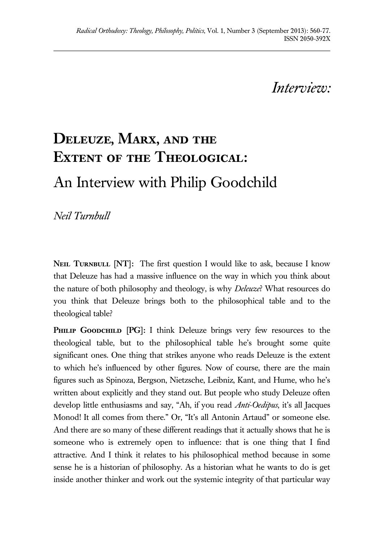## *Interview:*

# **Deleuze, Marx, and the Extent of the Theological:**  An Interview with Philip Goodchild

*Neil Turnbull* 

**NEIL TURNBULL [NT]:** The first question I would like to ask, because I know that Deleuze has had a massive influence on the way in which you think about the nature of both philosophy and theology, is why *Deleuze*? What resources do you think that Deleuze brings both to the philosophical table and to the theological table?

PHILIP GOODCHILD [PG]: I think Deleuze brings very few resources to the theological table, but to the philosophical table he's brought some quite significant ones. One thing that strikes anyone who reads Deleuze is the extent to which he's influenced by other figures. Now of course, there are the main figures such as Spinoza, Bergson, Nietzsche, Leibniz, Kant, and Hume, who he's written about explicitly and they stand out. But people who study Deleuze often develop little enthusiasms and say, "Ah, if you read *Anti-Oedipus*, it's all Jacques Monod! It all comes from there." Or, "It's all Antonin Artaud" or someone else. And there are so many of these different readings that it actually shows that he is someone who is extremely open to influence: that is one thing that I find attractive. And I think it relates to his philosophical method because in some sense he is a historian of philosophy. As a historian what he wants to do is get inside another thinker and work out the systemic integrity of that particular way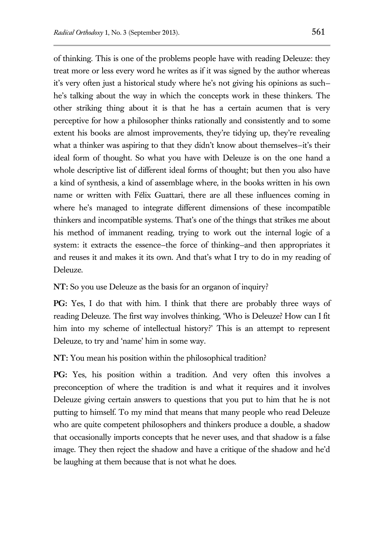of thinking. This is one of the problems people have with reading Deleuze: they treat more or less every word he writes as if it was signed by the author whereas it's very often just a historical study where he's not giving his opinions as such he's talking about the way in which the concepts work in these thinkers. The other striking thing about it is that he has a certain acumen that is very perceptive for how a philosopher thinks rationally and consistently and to some extent his books are almost improvements, they're tidying up, they're revealing what a thinker was aspiring to that they didn't know about themselves—it's their ideal form of thought. So what you have with Deleuze is on the one hand a whole descriptive list of different ideal forms of thought; but then you also have a kind of synthesis, a kind of assemblage where, in the books written in his own name or written with Félix Guattari, there are all these influences coming in where he's managed to integrate different dimensions of these incompatible thinkers and incompatible systems. That's one of the things that strikes me about his method of immanent reading, trying to work out the internal logic of a system: it extracts the essence—the force of thinking—and then appropriates it and reuses it and makes it its own. And that's what I try to do in my reading of Deleuze.

**NT:** So you use Deleuze as the basis for an organon of inquiry?

**PG:** Yes, I do that with him. I think that there are probably three ways of reading Deleuze. The first way involves thinking, 'Who is Deleuze? How can I fit him into my scheme of intellectual history?' This is an attempt to represent Deleuze, to try and 'name' him in some way.

**NT:** You mean his position within the philosophical tradition?

**PG:** Yes, his position within a tradition. And very often this involves a preconception of where the tradition is and what it requires and it involves Deleuze giving certain answers to questions that you put to him that he is not putting to himself. To my mind that means that many people who read Deleuze who are quite competent philosophers and thinkers produce a double, a shadow that occasionally imports concepts that he never uses, and that shadow is a false image. They then reject the shadow and have a critique of the shadow and he'd be laughing at them because that is not what he does.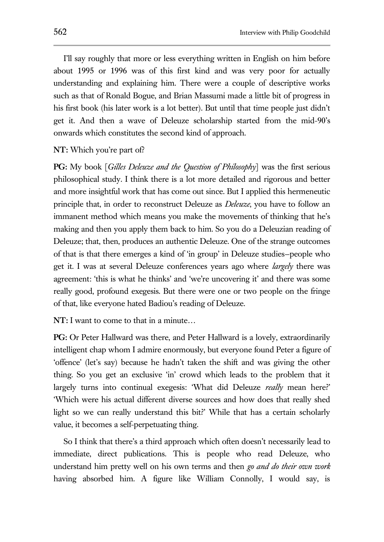I'll say roughly that more or less everything written in English on him before about 1995 or 1996 was of this first kind and was very poor for actually understanding and explaining him. There were a couple of descriptive works such as that of Ronald Bogue, and Brian Massumi made a little bit of progress in his first book (his later work is a lot better). But until that time people just didn't get it. And then a wave of Deleuze scholarship started from the mid-90's onwards which constitutes the second kind of approach.

#### **NT:** Which you're part of?

**PG:** My book [*Gilles Deleuze and the Question of Philosophy*] was the first serious philosophical study. I think there is a lot more detailed and rigorous and better and more insightful work that has come out since. But I applied this hermeneutic principle that, in order to reconstruct Deleuze as *Deleuze*, you have to follow an immanent method which means you make the movements of thinking that he's making and then you apply them back to him. So you do a Deleuzian reading of Deleuze; that, then, produces an authentic Deleuze. One of the strange outcomes of that is that there emerges a kind of 'in group' in Deleuze studies—people who get it. I was at several Deleuze conferences years ago where *largely* there was agreement: 'this is what he thinks' and 'we're uncovering it' and there was some really good, profound exegesis. But there were one or two people on the fringe of that, like everyone hated Badiou's reading of Deleuze.

**NT:** I want to come to that in a minute…

**PG:** Or Peter Hallward was there, and Peter Hallward is a lovely, extraordinarily intelligent chap whom I admire enormously, but everyone found Peter a figure of 'offence' (let's say) because he hadn't taken the shift and was giving the other thing. So you get an exclusive 'in' crowd which leads to the problem that it largely turns into continual exegesis: 'What did Deleuze *really* mean here?' 'Which were his actual different diverse sources and how does that really shed light so we can really understand this bit?' While that has a certain scholarly value, it becomes a self-perpetuating thing.

So I think that there's a third approach which often doesn't necessarily lead to immediate, direct publications. This is people who read Deleuze, who understand him pretty well on his own terms and then *go and do their own work* having absorbed him. A figure like William Connolly, I would say, is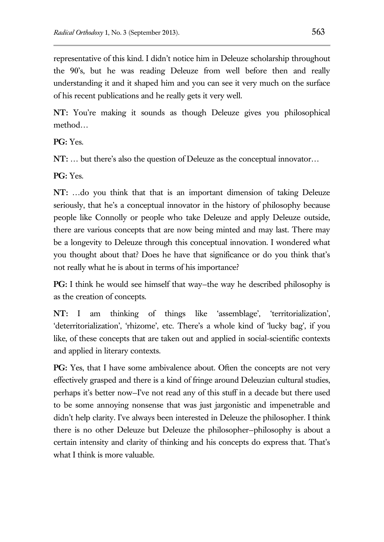representative of this kind. I didn't notice him in Deleuze scholarship throughout the 90's, but he was reading Deleuze from well before then and really understanding it and it shaped him and you can see it very much on the surface of his recent publications and he really gets it very well.

**NT:** You're making it sounds as though Deleuze gives you philosophical method…

**PG:** Yes.

**NT:** … but there's also the question of Deleuze as the conceptual innovator…

**PG:** Yes.

**NT:** …do you think that that is an important dimension of taking Deleuze seriously, that he's a conceptual innovator in the history of philosophy because people like Connolly or people who take Deleuze and apply Deleuze outside, there are various concepts that are now being minted and may last. There may be a longevity to Deleuze through this conceptual innovation. I wondered what you thought about that? Does he have that significance or do you think that's not really what he is about in terms of his importance?

**PG:** I think he would see himself that way–the way he described philosophy is as the creation of concepts.

**NT:** I am thinking of things like 'assemblage', 'territorialization', 'deterritorialization', 'rhizome', etc. There's a whole kind of 'lucky bag', if you like, of these concepts that are taken out and applied in social-scientific contexts and applied in literary contexts.

**PG:** Yes, that I have some ambivalence about. Often the concepts are not very effectively grasped and there is a kind of fringe around Deleuzian cultural studies, perhaps it's better now—I've not read any of this stuff in a decade but there used to be some annoying nonsense that was just jargonistic and impenetrable and didn't help clarity. I've always been interested in Deleuze the philosopher. I think there is no other Deleuze but Deleuze the philosopher—philosophy is about a certain intensity and clarity of thinking and his concepts do express that. That's what I think is more valuable.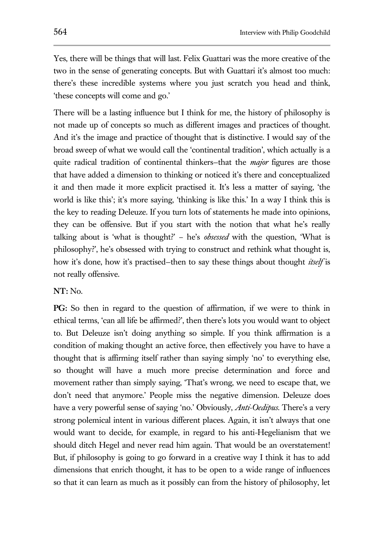Yes, there will be things that will last. Felix Guattari was the more creative of the two in the sense of generating concepts. But with Guattari it's almost too much: there's these incredible systems where you just scratch you head and think, 'these concepts will come and go.'

There will be a lasting influence but I think for me, the history of philosophy is not made up of concepts so much as different images and practices of thought. And it's the image and practice of thought that is distinctive. I would say of the broad sweep of what we would call the 'continental tradition', which actually is a quite radical tradition of continental thinkers—that the *major* figures are those that have added a dimension to thinking or noticed it's there and conceptualized it and then made it more explicit practised it. It's less a matter of saying, 'the world is like this'; it's more saying, 'thinking is like this.' In a way I think this is the key to reading Deleuze. If you turn lots of statements he made into opinions, they can be offensive. But if you start with the notion that what he's really talking about is 'what is thought?' – he's *obsessed* with the question, 'What is philosophy?', he's obsessed with trying to construct and rethink what thought is, how it's done, how it's practised—then to say these things about thought *itself* is not really offensive.

#### **NT:** No.

**PG:** So then in regard to the question of affirmation, if we were to think in ethical terms, 'can all life be affirmed?', then there's lots you would want to object to. But Deleuze isn't doing anything so simple. If you think affirmation is a condition of making thought an active force, then effectively you have to have a thought that is affirming itself rather than saying simply 'no' to everything else, so thought will have a much more precise determination and force and movement rather than simply saying, 'That's wrong, we need to escape that, we don't need that anymore.' People miss the negative dimension. Deleuze does have a very powerful sense of saying 'no.' Obviously, *Anti-Oedipus*. There's a very strong polemical intent in various different places. Again, it isn't always that one would want to decide, for example, in regard to his anti-Hegelianism that we should ditch Hegel and never read him again. That would be an overstatement! But, if philosophy is going to go forward in a creative way I think it has to add dimensions that enrich thought, it has to be open to a wide range of influences so that it can learn as much as it possibly can from the history of philosophy, let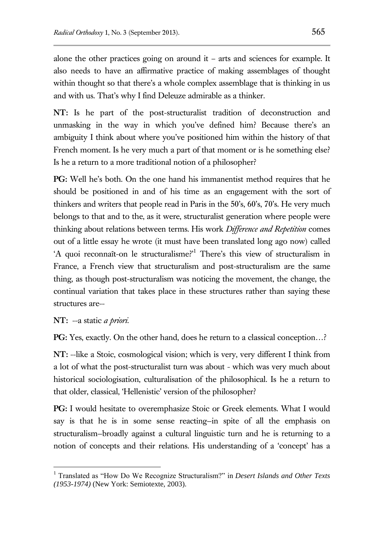alone the other practices going on around it – arts and sciences for example. It also needs to have an affirmative practice of making assemblages of thought within thought so that there's a whole complex assemblage that is thinking in us and with us. That's why I find Deleuze admirable as a thinker.

**NT:** Is he part of the post-structuralist tradition of deconstruction and unmasking in the way in which you've defined him? Because there's an ambiguity I think about where you've positioned him within the history of that French moment. Is he very much a part of that moment or is he something else? Is he a return to a more traditional notion of a philosopher?

**PG:** Well he's both. On the one hand his immanentist method requires that he should be positioned in and of his time as an engagement with the sort of thinkers and writers that people read in Paris in the 50's, 60's, 70's. He very much belongs to that and to the, as it were, structuralist generation where people were thinking about relations between terms. His work *Difference and Repetition* comes out of a little essay he wrote (it must have been translated long ago now) called 'A quoi reconnaît-on le structuralisme?'<sup>1</sup> There's this view of structuralism in France, a French view that structuralism and post-structuralism are the same thing, as though post-structuralism was noticing the movement, the change, the continual variation that takes place in these structures rather than saying these structures are--

**NT:** --a static *a priori*.

 $\overline{a}$ 

**PG:** Yes, exactly. On the other hand, does he return to a classical conception…?

**NT:** --like a Stoic, cosmological vision; which is very, very different I think from a lot of what the post-structuralist turn was about - which was very much about historical sociologisation, culturalisation of the philosophical. Is he a return to that older, classical, 'Hellenistic' version of the philosopher?

**PG:** I would hesitate to overemphasize Stoic or Greek elements. What I would say is that he is in some sense reacting—in spite of all the emphasis on structuralism—broadly against a cultural linguistic turn and he is returning to a notion of concepts and their relations. His understanding of a 'concept' has a

<sup>1</sup> Translated as "How Do We Recognize Structuralism?" in *Desert Islands and Other Texts (1953-1974)* (New York: Semiotexte, 2003).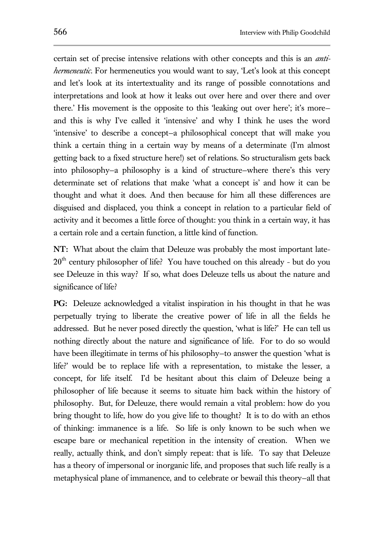certain set of precise intensive relations with other concepts and this is an *antihermeneutic*. For hermeneutics you would want to say, 'Let's look at this concept and let's look at its intertextuality and its range of possible connotations and interpretations and look at how it leaks out over here and over there and over there.' His movement is the opposite to this 'leaking out over here'; it's more and this is why I've called it 'intensive' and why I think he uses the word 'intensive' to describe a concept—a philosophical concept that will make you think a certain thing in a certain way by means of a determinate (I'm almost getting back to a fixed structure here!) set of relations. So structuralism gets back into philosophy—a philosophy is a kind of structure—where there's this very determinate set of relations that make 'what a concept is' and how it can be thought and what it does. And then because for him all these differences are disguised and displaced, you think a concept in relation to a particular field of activity and it becomes a little force of thought: you think in a certain way, it has a certain role and a certain function, a little kind of function.

**NT:** What about the claim that Deleuze was probably the most important late- $20<sup>th</sup>$  century philosopher of life? You have touched on this already - but do you see Deleuze in this way? If so, what does Deleuze tells us about the nature and significance of life?

**PG:** Deleuze acknowledged a vitalist inspiration in his thought in that he was perpetually trying to liberate the creative power of life in all the fields he addressed. But he never posed directly the question, 'what is life?' He can tell us nothing directly about the nature and significance of life. For to do so would have been illegitimate in terms of his philosophy-to answer the question 'what is life?' would be to replace life with a representation, to mistake the lesser, a concept, for life itself. I'd be hesitant about this claim of Deleuze being a philosopher of life because it seems to situate him back within the history of philosophy. But, for Deleuze, there would remain a vital problem: how do you bring thought to life, how do you give life to thought? It is to do with an ethos of thinking: immanence is a life. So life is only known to be such when we escape bare or mechanical repetition in the intensity of creation. When we really, actually think, and don't simply repeat: that is life. To say that Deleuze has a theory of impersonal or inorganic life, and proposes that such life really is a metaphysical plane of immanence, and to celebrate or bewail this theory—all that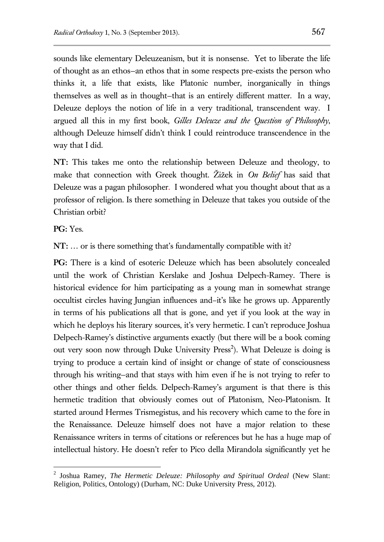sounds like elementary Deleuzeanism, but it is nonsense. Yet to liberate the life of thought as an ethos—an ethos that in some respects pre-exists the person who thinks it, a life that exists, like Platonic number, inorganically in things themselves as well as in thought—that is an entirely different matter. In a way, Deleuze deploys the notion of life in a very traditional, transcendent way. I argued all this in my first book, *Gilles Deleuze and the Question of Philosophy*, although Deleuze himself didn't think I could reintroduce transcendence in the way that I did.

**NT:** This takes me onto the relationship between Deleuze and theology, to make that connection with Greek thought. Žižek in *On Belief* has said that Deleuze was a pagan philosopher. I wondered what you thought about that as a professor of religion. Is there something in Deleuze that takes you outside of the Christian orbit?

**PG:** Yes.

 $\overline{a}$ 

**NT:** … or is there something that's fundamentally compatible with it?

**PG:** There is a kind of esoteric Deleuze which has been absolutely concealed until the work of Christian Kerslake and Joshua Delpech-Ramey. There is historical evidence for him participating as a young man in somewhat strange occultist circles having Jungian influences and–it's like he grows up. Apparently in terms of his publications all that is gone, and yet if you look at the way in which he deploys his literary sources, it's very hermetic. I can't reproduce Joshua Delpech-Ramey's distinctive arguments exactly (but there will be a book coming out very soon now through Duke University Press<sup>2</sup>). What Deleuze is doing is trying to produce a certain kind of insight or change of state of consciousness through his writing—and that stays with him even if he is not trying to refer to other things and other fields. Delpech-Ramey's argument is that there is this hermetic tradition that obviously comes out of Platonism, Neo-Platonism. It started around Hermes Trismegistus, and his recovery which came to the fore in the Renaissance. Deleuze himself does not have a major relation to these Renaissance writers in terms of citations or references but he has a huge map of intellectual history. He doesn't refer to Pico della Mirandola significantly yet he

<sup>2</sup> Joshua Ramey, *The Hermetic Deleuze: Philosophy and Spiritual Ordeal* (New Slant: Religion, Politics, Ontology) (Durham, NC: Duke University Press, 2012).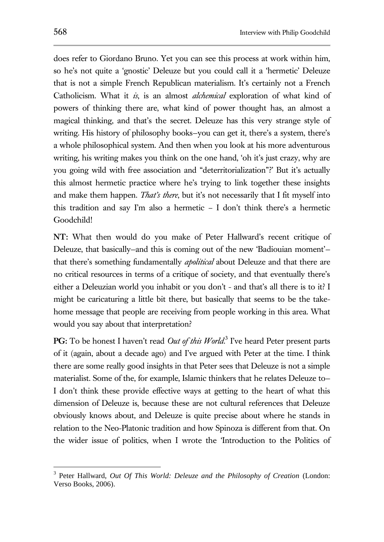does refer to Giordano Bruno. Yet you can see this process at work within him, so he's not quite a 'gnostic' Deleuze but you could call it a 'hermetic' Deleuze that is not a simple French Republican materialism. It's certainly not a French Catholicism. What it *is*, is an almost *alchemical* exploration of what kind of powers of thinking there are, what kind of power thought has, an almost a magical thinking, and that's the secret. Deleuze has this very strange style of writing. His history of philosophy books—you can get it, there's a system, there's a whole philosophical system. And then when you look at his more adventurous writing, his writing makes you think on the one hand, 'oh it's just crazy, why are you going wild with free association and "deterritorialization"?' But it's actually this almost hermetic practice where he's trying to link together these insights and make them happen. *That's there*, but it's not necessarily that I fit myself into this tradition and say I'm also a hermetic – I don't think there's a hermetic Goodchild!

**NT:** What then would do you make of Peter Hallward's recent critique of Deleuze, that basically—and this is coming out of the new 'Badiouian moment' that there's something fundamentally *apolitical* about Deleuze and that there are no critical resources in terms of a critique of society, and that eventually there's either a Deleuzian world you inhabit or you don't - and that's all there is to it? I might be caricaturing a little bit there, but basically that seems to be the takehome message that people are receiving from people working in this area. What would you say about that interpretation?

PG: To be honest I haven't read *Out of this World*.<sup>3</sup> I've heard Peter present parts of it (again, about a decade ago) and I've argued with Peter at the time. I think there are some really good insights in that Peter sees that Deleuze is not a simple materialist. Some of the, for example, Islamic thinkers that he relates Deleuze to— I don't think these provide effective ways at getting to the heart of what this dimension of Deleuze is, because these are not cultural references that Deleuze obviously knows about, and Deleuze is quite precise about where he stands in relation to the Neo-Platonic tradition and how Spinoza is different from that. On the wider issue of politics, when I wrote the 'Introduction to the Politics of

 $\overline{a}$ 

<sup>3</sup> Peter Hallward, *Out Of This World: Deleuze and the Philosophy of Creation* (London: Verso Books, 2006).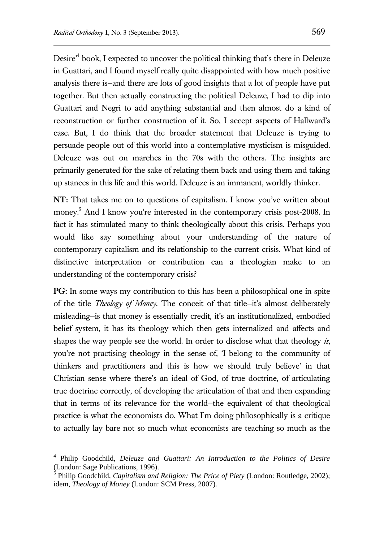Desire<sup>4</sup> book, I expected to uncover the political thinking that's there in Deleuze in Guattari, and I found myself really quite disappointed with how much positive analysis there is—and there are lots of good insights that a lot of people have put together. But then actually constructing the political Deleuze, I had to dip into Guattari and Negri to add anything substantial and then almost do a kind of reconstruction or further construction of it. So, I accept aspects of Hallward's case. But, I do think that the broader statement that Deleuze is trying to persuade people out of this world into a contemplative mysticism is misguided. Deleuze was out on marches in the 70s with the others. The insights are primarily generated for the sake of relating them back and using them and taking up stances in this life and this world. Deleuze is an immanent, worldly thinker.

**NT:** That takes me on to questions of capitalism. I know you've written about money.<sup>5</sup> And I know you're interested in the contemporary crisis post-2008. In fact it has stimulated many to think theologically about this crisis. Perhaps you would like say something about your understanding of the nature of contemporary capitalism and its relationship to the current crisis. What kind of distinctive interpretation or contribution can a theologian make to an understanding of the contemporary crisis?

**PG:** In some ways my contribution to this has been a philosophical one in spite of the title *Theology of Money*. The conceit of that title—it's almost deliberately misleading—is that money is essentially credit, it's an institutionalized, embodied belief system, it has its theology which then gets internalized and affects and shapes the way people see the world. In order to disclose what that theology *is*, you're not practising theology in the sense of, 'I belong to the community of thinkers and practitioners and this is how we should truly believe' in that Christian sense where there's an ideal of God, of true doctrine, of articulating true doctrine correctly, of developing the articulation of that and then expanding that in terms of its relevance for the world—the equivalent of that theological practice is what the economists do. What I'm doing philosophically is a critique to actually lay bare not so much what economists are teaching so much as the

 $\overline{a}$ 

<sup>4</sup> Philip Goodchild, *Deleuze and Guattari: An Introduction to the Politics of Desire* (London: Sage Publications, 1996).

<sup>5</sup> Philip Goodchild, *Capitalism and Religion: The Price of Piety* (London: Routledge, 2002); idem, *Theology of Money* (London: SCM Press, 2007).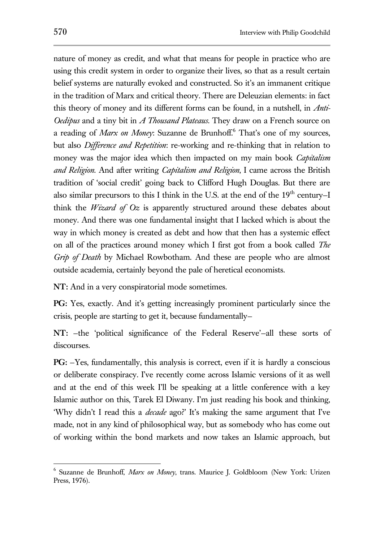nature of money as credit, and what that means for people in practice who are using this credit system in order to organize their lives, so that as a result certain belief systems are naturally evoked and constructed. So it's an immanent critique in the tradition of Marx and critical theory. There are Deleuzian elements: in fact this theory of money and its different forms can be found, in a nutshell, in *Anti-Oedipus* and a tiny bit in *A Thousand Plateaus*. They draw on a French source on a reading of *Marx on Money*: Suzanne de Brunhoff.<sup>6</sup> That's one of my sources, but also *Difference and Repetition*: re-working and re-thinking that in relation to money was the major idea which then impacted on my main book *Capitalism and Religion*. And after writing *Capitalism and Religion*, I came across the British tradition of 'social credit' going back to Clifford Hugh Douglas. But there are also similar precursors to this I think in the U.S. at the end of the  $19<sup>th</sup>$  century–I think the *Wizard of Oz* is apparently structured around these debates about money. And there was one fundamental insight that I lacked which is about the way in which money is created as debt and how that then has a systemic effect on all of the practices around money which I first got from a book called *The Grip of Death* by Michael Rowbotham. And these are people who are almost outside academia, certainly beyond the pale of heretical economists.

**NT:** And in a very conspiratorial mode sometimes.

**PG:** Yes, exactly. And it's getting increasingly prominent particularly since the crisis, people are starting to get it, because fundamentally—

**NT:** —the 'political significance of the Federal Reserve'—all these sorts of discourses.

**PG:** —Yes, fundamentally, this analysis is correct, even if it is hardly a conscious or deliberate conspiracy. I've recently come across Islamic versions of it as well and at the end of this week I'll be speaking at a little conference with a key Islamic author on this, Tarek El Diwany. I'm just reading his book and thinking, 'Why didn't I read this a *decade* ago?' It's making the same argument that I've made, not in any kind of philosophical way, but as somebody who has come out of working within the bond markets and now takes an Islamic approach, but

 $\overline{a}$ 

<sup>6</sup> Suzanne de Brunhoff, *Marx on Money*, trans. Maurice J. Goldbloom (New York: Urizen Press, 1976).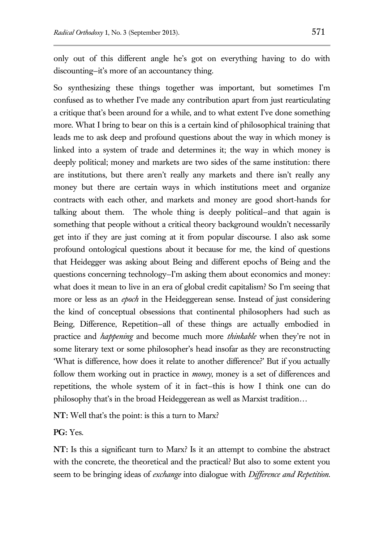only out of this different angle he's got on everything having to do with discounting—it's more of an accountancy thing.

So synthesizing these things together was important, but sometimes I'm confused as to whether I've made any contribution apart from just rearticulating a critique that's been around for a while, and to what extent I've done something more. What I bring to bear on this is a certain kind of philosophical training that leads me to ask deep and profound questions about the way in which money is linked into a system of trade and determines it; the way in which money is deeply political; money and markets are two sides of the same institution: there are institutions, but there aren't really any markets and there isn't really any money but there are certain ways in which institutions meet and organize contracts with each other, and markets and money are good short-hands for talking about them. The whole thing is deeply political—and that again is something that people without a critical theory background wouldn't necessarily get into if they are just coming at it from popular discourse. I also ask some profound ontological questions about it because for me, the kind of questions that Heidegger was asking about Being and different epochs of Being and the questions concerning technology—I'm asking them about economics and money: what does it mean to live in an era of global credit capitalism? So I'm seeing that more or less as an *epoch* in the Heideggerean sense. Instead of just considering the kind of conceptual obsessions that continental philosophers had such as Being, Difference, Repetition—all of these things are actually embodied in practice and *happening* and become much more *thinkable* when they're not in some literary text or some philosopher's head insofar as they are reconstructing 'What is difference, how does it relate to another difference?' But if you actually follow them working out in practice in *money*, money is a set of differences and repetitions, the whole system of it in fact—this is how I think one can do philosophy that's in the broad Heideggerean as well as Marxist tradition…

**NT:** Well that's the point: is this a turn to Marx?

**PG:** Yes.

**NT:** Is this a significant turn to Marx? Is it an attempt to combine the abstract with the concrete, the theoretical and the practical? But also to some extent you seem to be bringing ideas of *exchange* into dialogue with *Difference and Repetition*.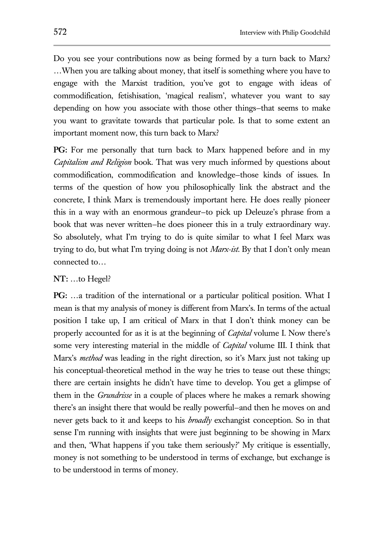Do you see your contributions now as being formed by a turn back to Marx? …When you are talking about money, that itself is something where you have to engage with the Marxist tradition, you've got to engage with ideas of commodification, fetishisation, 'magical realism', whatever you want to say depending on how you associate with those other things—that seems to make you want to gravitate towards that particular pole. Is that to some extent an important moment now, this turn back to Marx?

**PG:** For me personally that turn back to Marx happened before and in my *Capitalism and Religion* book. That was very much informed by questions about commodification, commodification and knowledge—those kinds of issues. In terms of the question of how you philosophically link the abstract and the concrete, I think Marx is tremendously important here. He does really pioneer this in a way with an enormous grandeur—to pick up Deleuze's phrase from a book that was never written—he does pioneer this in a truly extraordinary way. So absolutely, what I'm trying to do is quite similar to what I feel Marx was trying to do, but what I'm trying doing is not *Marx-ist*. By that I don't only mean connected to…

#### **NT:** …to Hegel?

**PG:** …a tradition of the international or a particular political position. What I mean is that my analysis of money is different from Marx's. In terms of the actual position I take up, I am critical of Marx in that I don't think money can be properly accounted for as it is at the beginning of *Capital* volume I. Now there's some very interesting material in the middle of *Capital* volume III. I think that Marx's *method* was leading in the right direction, so it's Marx just not taking up his conceptual-theoretical method in the way he tries to tease out these things; there are certain insights he didn't have time to develop. You get a glimpse of them in the *Grundrisse* in a couple of places where he makes a remark showing there's an insight there that would be really powerful—and then he moves on and never gets back to it and keeps to his *broadly* exchangist conception. So in that sense I'm running with insights that were just beginning to be showing in Marx and then, 'What happens if you take them seriously?' My critique is essentially, money is not something to be understood in terms of exchange, but exchange is to be understood in terms of money.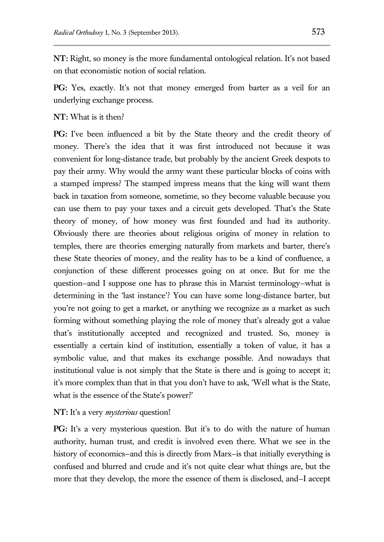**NT:** Right, so money is the more fundamental ontological relation. It's not based on that economistic notion of social relation.

**PG:** Yes, exactly. It's not that money emerged from barter as a veil for an underlying exchange process.

#### **NT:** What is it then?

**PG:** I've been influenced a bit by the State theory and the credit theory of money. There's the idea that it was first introduced not because it was convenient for long-distance trade, but probably by the ancient Greek despots to pay their army. Why would the army want these particular blocks of coins with a stamped impress? The stamped impress means that the king will want them back in taxation from someone, sometime, so they become valuable because you can use them to pay your taxes and a circuit gets developed. That's the State theory of money, of how money was first founded and had its authority. Obviously there are theories about religious origins of money in relation to temples, there are theories emerging naturally from markets and barter, there's these State theories of money, and the reality has to be a kind of confluence, a conjunction of these different processes going on at once. But for me the question—and I suppose one has to phrase this in Marxist terminology—what is determining in the 'last instance'? You can have some long-distance barter, but you're not going to get a market, or anything we recognize as a market as such forming without something playing the role of money that's already got a value that's institutionally accepted and recognized and trusted. So, money is essentially a certain kind of institution, essentially a token of value, it has a symbolic value, and that makes its exchange possible. And nowadays that institutional value is not simply that the State is there and is going to accept it; it's more complex than that in that you don't have to ask, 'Well what is the State, what is the essence of the State's power?'

### **NT:** It's a very *mysterious* question!

**PG:** It's a very mysterious question. But it's to do with the nature of human authority, human trust, and credit is involved even there. What we see in the history of economics–and this is directly from Marx–is that initially everything is confused and blurred and crude and it's not quite clear what things are, but the more that they develop, the more the essence of them is disclosed, and—I accept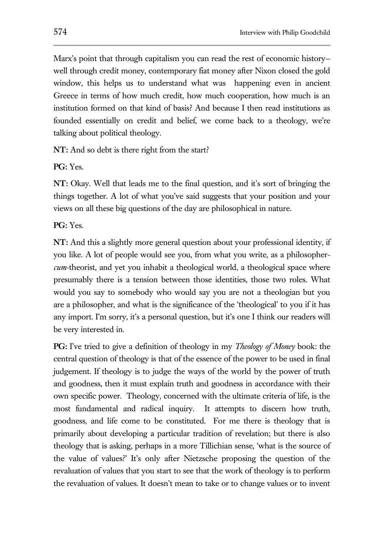Marx's point that through capitalism you can read the rest of economic history well through credit money, contemporary fiat money after Nixon closed the gold window, this helps us to understand what was happening even in ancient Greece in terms of how much credit, how much cooperation, how much is an institution formed on that kind of basis? And because I then read institutions as founded essentially on credit and belief, we come back to a theology, we're talking about political theology.

**NT:** And so debt is there right from the start?

**PG:** Yes.

**NT:** Okay. Well that leads me to the final question, and it's sort of bringing the things together. A lot of what you've said suggests that your position and your views on all these big questions of the day are philosophical in nature.

**PG:** Yes.

**NT:** And this a slightly more general question about your professional identity, if you like. A lot of people would see you, from what you write, as a philosopher*cum*-theorist, and yet you inhabit a theological world, a theological space where presumably there is a tension between those identities, those two roles. What would you say to somebody who would say you are not a theologian but you are a philosopher, and what is the significance of the 'theological' to you if it has any import. I'm sorry, it's a personal question, but it's one I think our readers will be very interested in.

**PG:** I've tried to give a definition of theology in my *Theology of Money* book: the central question of theology is that of the essence of the power to be used in final judgement. If theology is to judge the ways of the world by the power of truth and goodness, then it must explain truth and goodness in accordance with their own specific power. Theology, concerned with the ultimate criteria of life, is the most fundamental and radical inquiry. It attempts to discern how truth, goodness, and life come to be constituted. For me there is theology that is primarily about developing a particular tradition of revelation; but there is also theology that is asking, perhaps in a more Tillichian sense, 'what is the source of the value of values?' It's only after Nietzsche proposing the question of the revaluation of values that you start to see that the work of theology is to perform the revaluation of values. It doesn't mean to take or to change values or to invent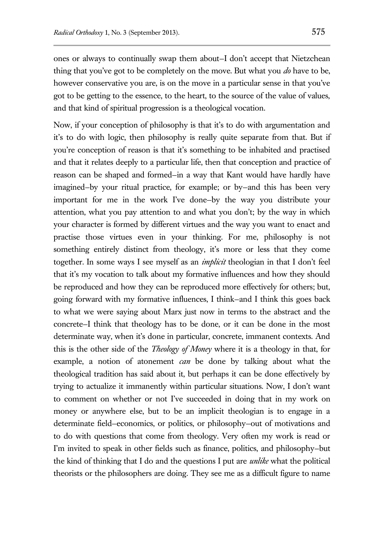ones or always to continually swap them about—I don't accept that Nietzchean thing that you've got to be completely on the move. But what you *do* have to be, however conservative you are, is on the move in a particular sense in that you've got to be getting to the essence, to the heart, to the source of the value of values, and that kind of spiritual progression is a theological vocation.

Now, if your conception of philosophy is that it's to do with argumentation and it's to do with logic, then philosophy is really quite separate from that. But if you're conception of reason is that it's something to be inhabited and practised and that it relates deeply to a particular life, then that conception and practice of reason can be shaped and formed—in a way that Kant would have hardly have imagined—by your ritual practice, for example; or by—and this has been very important for me in the work I've done—by the way you distribute your attention, what you pay attention to and what you don't; by the way in which your character is formed by different virtues and the way you want to enact and practise those virtues even in your thinking. For me, philosophy is not something entirely distinct from theology, it's more or less that they come together. In some ways I see myself as an *implicit* theologian in that I don't feel that it's my vocation to talk about my formative influences and how they should be reproduced and how they can be reproduced more effectively for others; but, going forward with my formative influences, I think—and I think this goes back to what we were saying about Marx just now in terms to the abstract and the concrete—I think that theology has to be done, or it can be done in the most determinate way, when it's done in particular, concrete, immanent contexts. And this is the other side of the *Theology of Money* where it is a theology in that, for example, a notion of atonement *can* be done by talking about what the theological tradition has said about it, but perhaps it can be done effectively by trying to actualize it immanently within particular situations. Now, I don't want to comment on whether or not I've succeeded in doing that in my work on money or anywhere else, but to be an implicit theologian is to engage in a determinate field—economics, or politics, or philosophy—out of motivations and to do with questions that come from theology. Very often my work is read or I'm invited to speak in other fields such as finance, politics, and philosophy—but the kind of thinking that I do and the questions I put are *unlike* what the political theorists or the philosophers are doing. They see me as a difficult figure to name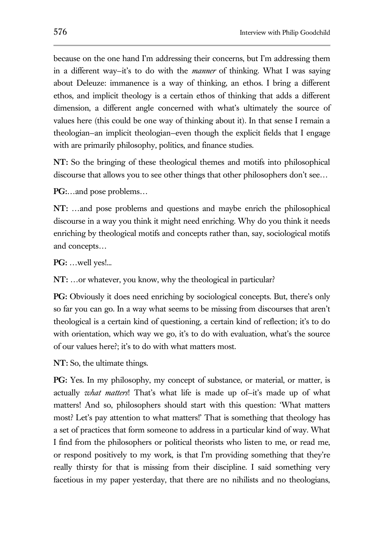because on the one hand I'm addressing their concerns, but I'm addressing them in a different way—it's to do with the *manner* of thinking. What I was saying about Deleuze: immanence is a way of thinking, an ethos. I bring a different ethos, and implicit theology is a certain ethos of thinking that adds a different dimension, a different angle concerned with what's ultimately the source of values here (this could be one way of thinking about it). In that sense I remain a theologian—an implicit theologian—even though the explicit fields that I engage with are primarily philosophy, politics, and finance studies.

**NT:** So the bringing of these theological themes and motifs into philosophical discourse that allows you to see other things that other philosophers don't see…

**PG:**…and pose problems…

**NT:** …and pose problems and questions and maybe enrich the philosophical discourse in a way you think it might need enriching. Why do you think it needs enriching by theological motifs and concepts rather than, say, sociological motifs and concepts…

**PG:** …well yes!...

**NT:** …or whatever, you know, why the theological in particular?

**PG:** Obviously it does need enriching by sociological concepts. But, there's only so far you can go. In a way what seems to be missing from discourses that aren't theological is a certain kind of questioning, a certain kind of reflection; it's to do with orientation, which way we go, it's to do with evaluation, what's the source of our values here?; it's to do with what matters most.

**NT:** So, the ultimate things.

**PG:** Yes. In my philosophy, my concept of substance, or material, or matter, is actually *what matters*! That's what life is made up of—it's made up of what matters! And so, philosophers should start with this question: 'What matters most? Let's pay attention to what matters!' That is something that theology has a set of practices that form someone to address in a particular kind of way. What I find from the philosophers or political theorists who listen to me, or read me, or respond positively to my work, is that I'm providing something that they're really thirsty for that is missing from their discipline. I said something very facetious in my paper yesterday, that there are no nihilists and no theologians,